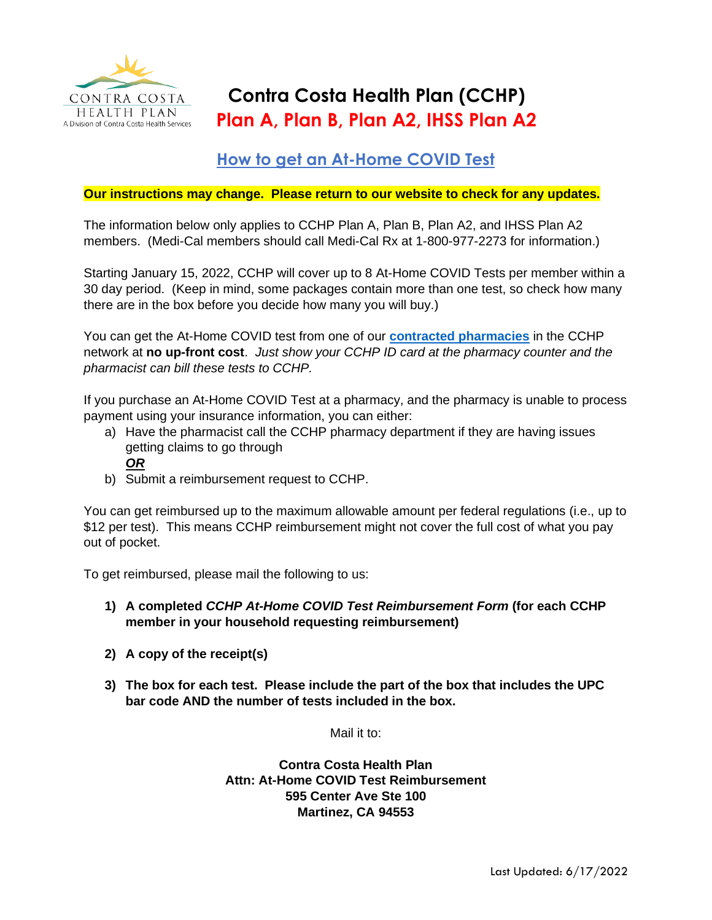

## **Contra Costa Health Plan (CCHP) Plan A, Plan B, Plan A2, IHSS Plan A2**

## **How to get an At-Home COVID Test**

## **Our instructions may change. Please return to our website to check for any updates.**

The information below only applies to CCHP Plan A, Plan B, Plan A2, and IHSS Plan A2 members. (Medi-Cal members should call Medi-Cal Rx at 1-800-977-2273 for information.)

Starting January 15, 2022, CCHP will cover up to 8 At-Home COVID Tests per member within a 30 day period. (Keep in mind, some packages contain more than one test, so check how many there are in the box before you decide how many you will buy.)

You can get the At-Home COVID test from one of our **[contracted pharmacies](http://www.cchealth.org/findaprovider)** in the CCHP network at **no up-front cost**. *Just show your CCHP ID card at the pharmacy counter and the pharmacist can bill these tests to CCHP.*

If you purchase an At-Home COVID Test at a pharmacy, and the pharmacy is unable to process payment using your insurance information, you can either:

- a) Have the pharmacist call the CCHP pharmacy department if they are having issues getting claims to go through
	- *OR*
- b) Submit a reimbursement request to CCHP.

You can get reimbursed up to the maximum allowable amount per federal regulations (i.e., up to \$12 per test). This means CCHP reimbursement might not cover the full cost of what you pay out of pocket.

To get reimbursed, please mail the following to us:

- **1) A completed** *CCHP At-Home COVID Test Reimbursement Form* **(for each CCHP member in your household requesting reimbursement)**
- **2) A copy of the receipt(s)**
- **3) The box for each test. Please include the part of the box that includes the UPC bar code AND the number of tests included in the box.**

Mail it to:

**Contra Costa Health Plan Attn: At-Home COVID Test Reimbursement 595 Center Ave Ste 100 Martinez, CA 94553**